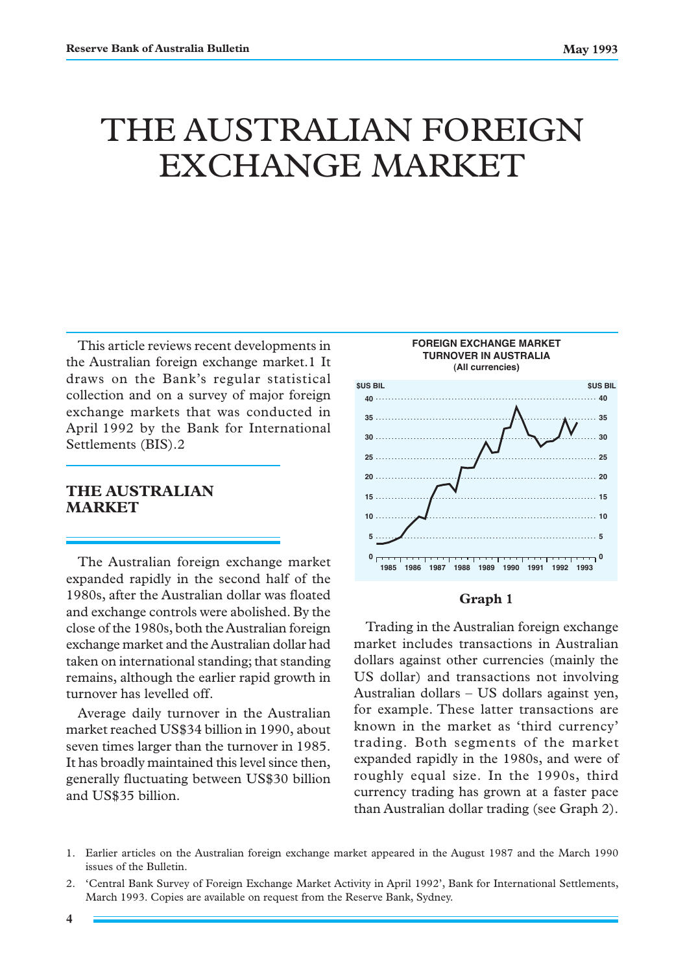# THE AUSTRALIAN FOREIGN EXCHANGE MARKET

This article reviews recent developments in the Australian foreign exchange market.1 It draws on the Bank's regular statistical collection and on a survey of major foreign exchange markets that was conducted in April 1992 by the Bank for International Settlements (BIS).2

# **THE AUSTRALIAN MARKET**

The Australian foreign exchange market expanded rapidly in the second half of the 1980s, after the Australian dollar was floated and exchange controls were abolished. By the close of the 1980s, both the Australian foreign exchange market and the Australian dollar had taken on international standing; that standing remains, although the earlier rapid growth in turnover has levelled off.

Average daily turnover in the Australian market reached US\$34 billion in 1990, about seven times larger than the turnover in 1985. It has broadly maintained this level since then, generally fluctuating between US\$30 billion and US\$35 billion.



### **Graph 1**

Trading in the Australian foreign exchange market includes transactions in Australian dollars against other currencies (mainly the US dollar) and transactions not involving Australian dollars – US dollars against yen, for example. These latter transactions are known in the market as 'third currency' trading. Both segments of the market expanded rapidly in the 1980s, and were of roughly equal size. In the 1990s, third currency trading has grown at a faster pace than Australian dollar trading (see Graph 2).

<sup>1.</sup> Earlier articles on the Australian foreign exchange market appeared in the August 1987 and the March 1990 issues of the Bulletin.

<sup>2. &#</sup>x27;Central Bank Survey of Foreign Exchange Market Activity in April 1992', Bank for International Settlements, March 1993. Copies are available on request from the Reserve Bank, Sydney.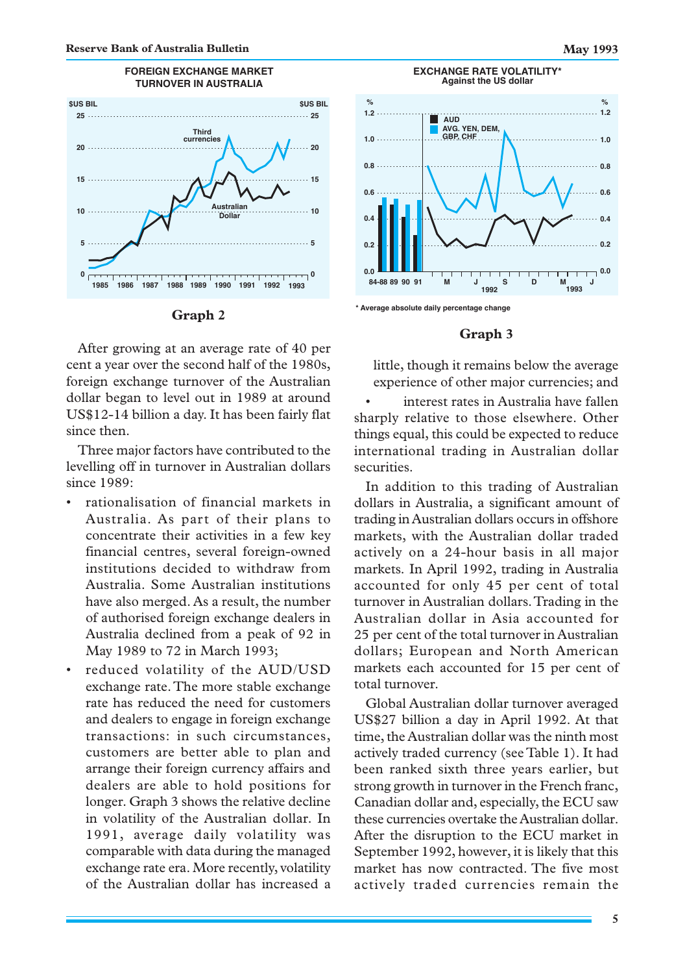



After growing at an average rate of 40 per cent a year over the second half of the 1980s, foreign exchange turnover of the Australian dollar began to level out in 1989 at around US\$12-14 billion a day. It has been fairly flat since then.

Three major factors have contributed to the levelling off in turnover in Australian dollars since 1989:

- rationalisation of financial markets in Australia. As part of their plans to concentrate their activities in a few key financial centres, several foreign-owned institutions decided to withdraw from Australia. Some Australian institutions have also merged. As a result, the number of authorised foreign exchange dealers in Australia declined from a peak of 92 in May 1989 to 72 in March 1993;
- reduced volatility of the AUD/USD exchange rate. The more stable exchange rate has reduced the need for customers and dealers to engage in foreign exchange transactions: in such circumstances, customers are better able to plan and arrange their foreign currency affairs and dealers are able to hold positions for longer. Graph 3 shows the relative decline in volatility of the Australian dollar. In 1991, average daily volatility was comparable with data during the managed exchange rate era. More recently, volatility of the Australian dollar has increased a



**<sup>\*</sup> Average absolute daily percentage change**

#### **Graph 3**

little, though it remains below the average experience of other major currencies; and

interest rates in Australia have fallen sharply relative to those elsewhere. Other things equal, this could be expected to reduce international trading in Australian dollar securities.

In addition to this trading of Australian dollars in Australia, a significant amount of trading in Australian dollars occurs in offshore markets, with the Australian dollar traded actively on a 24-hour basis in all major markets. In April 1992, trading in Australia accounted for only 45 per cent of total turnover in Australian dollars. Trading in the Australian dollar in Asia accounted for 25 per cent of the total turnover in Australian dollars; European and North American markets each accounted for 15 per cent of total turnover.

Global Australian dollar turnover averaged US\$27 billion a day in April 1992. At that time, the Australian dollar was the ninth most actively traded currency (see Table 1). It had been ranked sixth three years earlier, but strong growth in turnover in the French franc, Canadian dollar and, especially, the ECU saw these currencies overtake the Australian dollar. After the disruption to the ECU market in September 1992, however, it is likely that this market has now contracted. The five most actively traded currencies remain the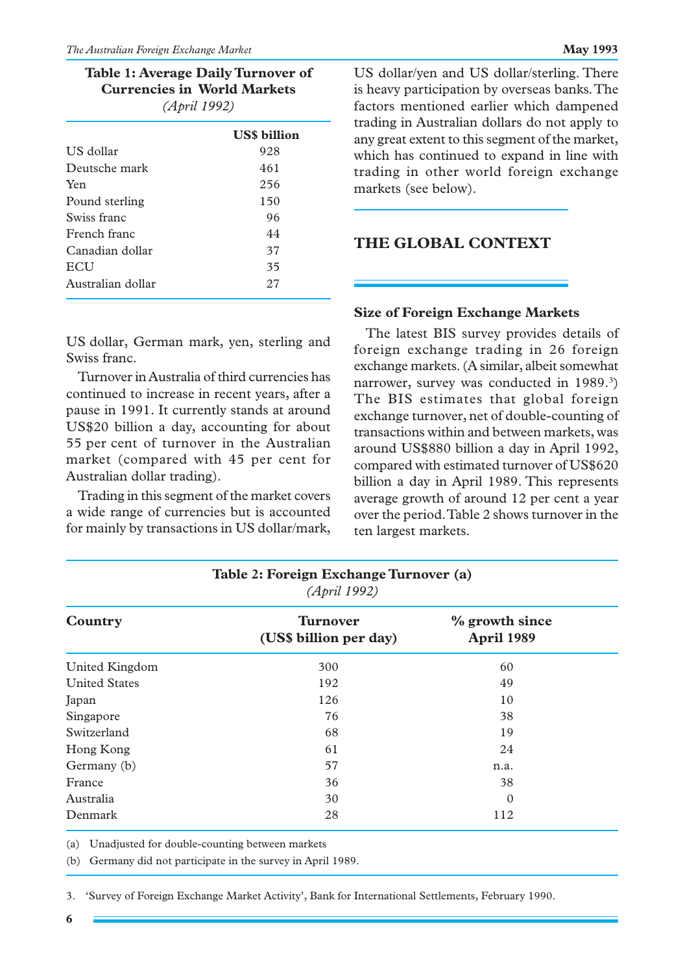| Table 1: Average Daily Turnover of |
|------------------------------------|
| <b>Currencies in World Markets</b> |
| (April 1992)                       |

|                   | <b>USS</b> billion |
|-------------------|--------------------|
| US dollar         | 928                |
| Deutsche mark     | 461                |
| Yen               | 256                |
| Pound sterling    | 150                |
| Swiss franc       | 96                 |
| French franc      | 44                 |
| Canadian dollar   | 37                 |
| <b>ECU</b>        | 35                 |
| Australian dollar | 27                 |
|                   |                    |

US dollar/yen and US dollar/sterling. There is heavy participation by overseas banks. The factors mentioned earlier which dampened trading in Australian dollars do not apply to any great extent to this segment of the market, which has continued to expand in line with trading in other world foreign exchange markets (see below).

# **THE GLOBAL CONTEXT**

US dollar, German mark, yen, sterling and Swiss franc.

Turnover in Australia of third currencies has continued to increase in recent years, after a pause in 1991. It currently stands at around US\$20 billion a day, accounting for about 55 per cent of turnover in the Australian market (compared with 45 per cent for Australian dollar trading).

Trading in this segment of the market covers a wide range of currencies but is accounted for mainly by transactions in US dollar/mark,

|  |  |  | <b>Size of Foreign Exchange Markets</b> |  |
|--|--|--|-----------------------------------------|--|
|--|--|--|-----------------------------------------|--|

The latest BIS survey provides details of foreign exchange trading in 26 foreign exchange markets. (A similar, albeit somewhat narrower, survey was conducted in 1989.<sup>3</sup>) The BIS estimates that global foreign exchange turnover, net of double-counting of transactions within and between markets, was around US\$880 billion a day in April 1992, compared with estimated turnover of US\$620 billion a day in April 1989. This represents average growth of around 12 per cent a year over the period. Table 2 shows turnover in the ten largest markets.

| $(21)$ $(11)$        |                                           |                              |  |  |  |  |
|----------------------|-------------------------------------------|------------------------------|--|--|--|--|
| Country              | <b>Turnover</b><br>(US\$ billion per day) | % growth since<br>April 1989 |  |  |  |  |
| United Kingdom       | 300                                       | 60                           |  |  |  |  |
| <b>United States</b> | 192                                       | 49                           |  |  |  |  |
| Japan                | 126                                       | 10                           |  |  |  |  |
| Singapore            | 76                                        | 38                           |  |  |  |  |
| Switzerland          | 68                                        | 19                           |  |  |  |  |
| Hong Kong            | 61                                        | 24                           |  |  |  |  |
| Germany (b)          | 57                                        | n.a.                         |  |  |  |  |
| France               | 36                                        | 38                           |  |  |  |  |
| Australia            | 30                                        | $\mathbf{0}$                 |  |  |  |  |
| Denmark              | 28                                        | 112                          |  |  |  |  |

**Table 2: Foreign Exchange Turnover (a)** *(April 1992)*

(a) Unadjusted for double-counting between markets

(b) Germany did not participate in the survey in April 1989.

3. 'Survey of Foreign Exchange Market Activity', Bank for International Settlements, February 1990.

**6**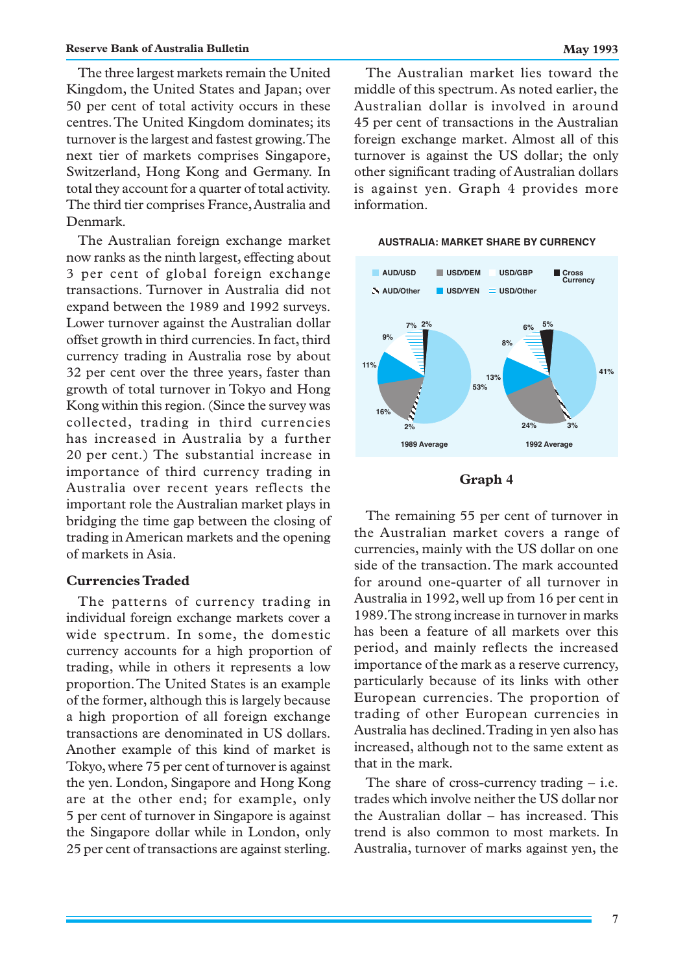The three largest markets remain the United Kingdom, the United States and Japan; over 50 per cent of total activity occurs in these centres. The United Kingdom dominates; its turnover is the largest and fastest growing. The next tier of markets comprises Singapore, Switzerland, Hong Kong and Germany. In total they account for a quarter of total activity. The third tier comprises France, Australia and Denmark.

The Australian foreign exchange market now ranks as the ninth largest, effecting about 3 per cent of global foreign exchange transactions. Turnover in Australia did not expand between the 1989 and 1992 surveys. Lower turnover against the Australian dollar offset growth in third currencies. In fact, third currency trading in Australia rose by about 32 per cent over the three years, faster than growth of total turnover in Tokyo and Hong Kong within this region. (Since the survey was collected, trading in third currencies has increased in Australia by a further 20 per cent.) The substantial increase in importance of third currency trading in Australia over recent years reflects the important role the Australian market plays in bridging the time gap between the closing of trading in American markets and the opening of markets in Asia.

## **Currencies Traded**

The patterns of currency trading in individual foreign exchange markets cover a wide spectrum. In some, the domestic currency accounts for a high proportion of trading, while in others it represents a low proportion. The United States is an example of the former, although this is largely because a high proportion of all foreign exchange transactions are denominated in US dollars. Another example of this kind of market is Tokyo, where 75 per cent of turnover is against the yen. London, Singapore and Hong Kong are at the other end; for example, only 5 per cent of turnover in Singapore is against the Singapore dollar while in London, only 25 per cent of transactions are against sterling.

The Australian market lies toward the middle of this spectrum. As noted earlier, the Australian dollar is involved in around 45 per cent of transactions in the Australian foreign exchange market. Almost all of this turnover is against the US dollar; the only other significant trading of Australian dollars is against yen. Graph 4 provides more information.



#### **AUSTRALIA: MARKET SHARE BY CURRENCY**

#### **Graph 4**

The remaining 55 per cent of turnover in the Australian market covers a range of currencies, mainly with the US dollar on one side of the transaction. The mark accounted for around one-quarter of all turnover in Australia in 1992, well up from 16 per cent in 1989. The strong increase in turnover in marks has been a feature of all markets over this period, and mainly reflects the increased importance of the mark as a reserve currency, particularly because of its links with other European currencies. The proportion of trading of other European currencies in Australia has declined. Trading in yen also has increased, although not to the same extent as that in the mark.

The share of cross-currency trading – i.e. trades which involve neither the US dollar nor the Australian dollar – has increased. This trend is also common to most markets. In Australia, turnover of marks against yen, the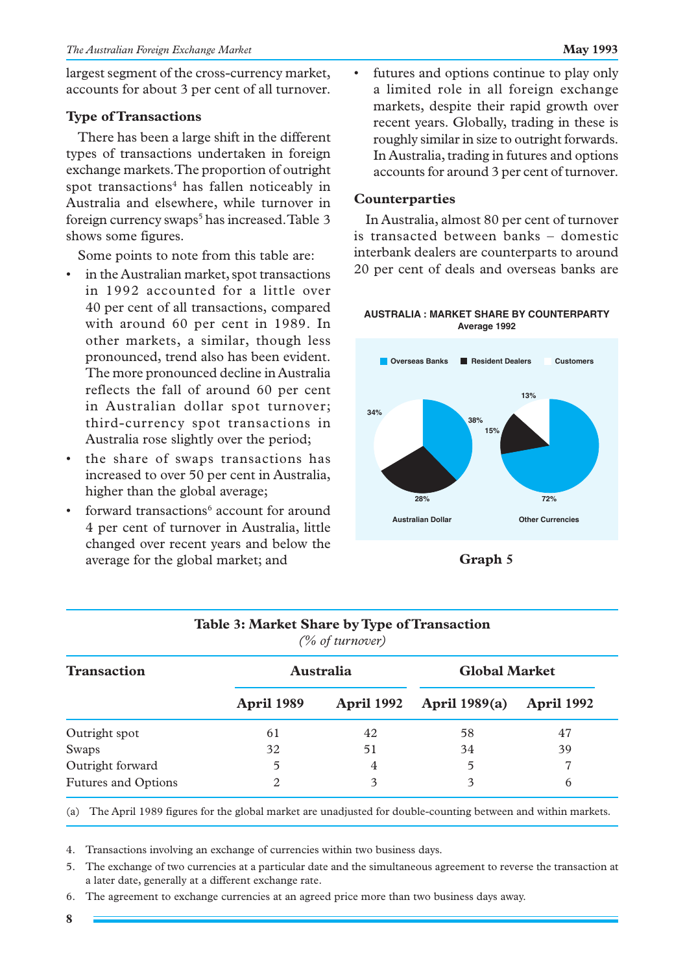largest segment of the cross-currency market, accounts for about 3 per cent of all turnover.

# **Type of Transactions**

There has been a large shift in the different types of transactions undertaken in foreign exchange markets. The proportion of outright spot transactions<sup>4</sup> has fallen noticeably in Australia and elsewhere, while turnover in foreign currency swaps<sup>5</sup> has increased. Table 3 shows some figures.

Some points to note from this table are:

- in the Australian market, spot transactions in 1992 accounted for a little over 40 per cent of all transactions, compared with around 60 per cent in 1989. In other markets, a similar, though less pronounced, trend also has been evident. The more pronounced decline in Australia reflects the fall of around 60 per cent in Australian dollar spot turnover; third-currency spot transactions in Australia rose slightly over the period;
- the share of swaps transactions has increased to over 50 per cent in Australia, higher than the global average;
- forward transactions<sup>6</sup> account for around 4 per cent of turnover in Australia, little changed over recent years and below the average for the global market; and

• futures and options continue to play only a limited role in all foreign exchange markets, despite their rapid growth over recent years. Globally, trading in these is roughly similar in size to outright forwards. In Australia, trading in futures and options accounts for around 3 per cent of turnover.

# **Counterparties**

In Australia, almost 80 per cent of turnover is transacted between banks – domestic interbank dealers are counterparts to around 20 per cent of deals and overseas banks are

## **AUSTRALIA : MARKET SHARE BY COUNTERPARTY Average 1992**



**Graph 5**

| Table 3: Market Share by Type of Transaction<br>(% of turnover) |                   |                   |                      |                   |  |  |
|-----------------------------------------------------------------|-------------------|-------------------|----------------------|-------------------|--|--|
| <b>Transaction</b>                                              | <b>Australia</b>  |                   | <b>Global Market</b> |                   |  |  |
|                                                                 | <b>April 1989</b> | <b>April 1992</b> | <b>April 1989(a)</b> | <b>April 1992</b> |  |  |
| Outright spot                                                   | 61                | 42                | 58                   | 47                |  |  |
| Swaps                                                           | 32                | 51                | 34                   | 39                |  |  |
| Outright forward                                                | 5                 | 4                 | 5                    | 7                 |  |  |
| <b>Futures and Options</b>                                      | $\overline{c}$    | 3                 | 3                    | 6                 |  |  |

**Table 3: Market Share by Type of Transaction**

(a) The April 1989 figures for the global market are unadjusted for double-counting between and within markets.

4. Transactions involving an exchange of currencies within two business days.

- 5. The exchange of two currencies at a particular date and the simultaneous agreement to reverse the transaction at a later date, generally at a different exchange rate.
- 6. The agreement to exchange currencies at an agreed price more than two business days away.

**8**